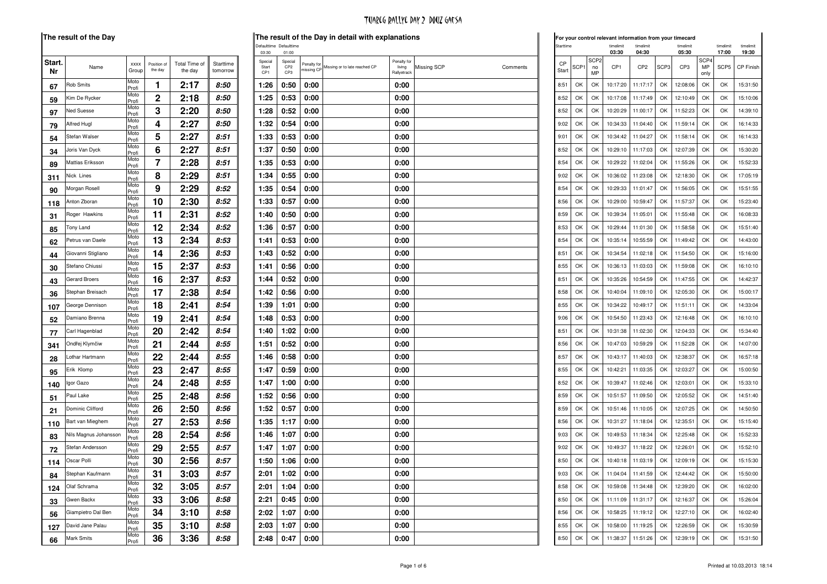| Start.<br>Nr | Name                  | <b>XXXX</b><br>Group   | Position of<br>the day | Total Time of<br>the day | Starttime<br>tomorrow |
|--------------|-----------------------|------------------------|------------------------|--------------------------|-----------------------|
| 67           | <b>Rob Smits</b>      | Moto<br>Profi          | 1                      | 2:17                     | 8:50                  |
| 59           | Kim De Rycker         | Moto<br>Profi          | 2                      | 2:18                     | 8:50                  |
| 97           | <b>Ned Suesse</b>     | Moto<br>Profi          | 3                      | 2:20                     | 8:50                  |
| 79           | Alfred Hugl           | Moto<br>Profi          | 4                      | 2:27                     | 8:50                  |
| 54           | Stefan Walser         | Moto<br>Profi          | 5                      | 2:27                     | 8:51                  |
| 34           | Joris Van Dyck        | Moto<br>Profi          | 6                      | 2:27                     | 8:51                  |
| 89           | Mattias Eriksson      | Moto<br>Profi          | 7                      | 2:28                     | 8:51                  |
| 311          | Nick Lines            | Moto<br>Profi          | 8                      | 2:29                     | 8:51                  |
| 90           | Morgan Rosell         | Moto                   | 9                      | 2:29                     | 8:52                  |
| 118          | Anton Zboran          | Profi<br>Moto          | 10                     | 2:30                     | 8:52                  |
| 31           | Roger Hawkins         | Profi<br>Moto          | 11                     | 2:31                     | 8:52                  |
| 85           | Tony Land             | Profi<br>Moto          | 12                     | 2:34                     | 8:52                  |
|              | Petrus van Daele      | Profi<br>Moto          | 13                     | 2:34                     | 8:53                  |
| 62           | Giovanni Stigliano    | Profi<br>Moto          | 14                     | 2:36                     | 8:53                  |
| 44           | Stefano Chiussi       | Profi<br>Moto          | 15                     | 2:37                     | 8:53                  |
| 30           | <b>Gerard Broers</b>  | Profi<br>Moto          | 16                     |                          | 8:53                  |
| 43           |                       | Profi<br>Moto          |                        | 2:37                     |                       |
| 36           | Stephan Breisach      | Profi<br>Moto          | 17                     | 2:38                     | 8:54                  |
| 107          | George Dennison       | Profi<br>Moto          | 18                     | 2:41                     | 8:54                  |
| 52           | Damiano Brenna        | Profi<br>Moto          | 19                     | 2:41                     | 8:54                  |
| 77           | Carl Hagenblad        | Profi<br>Moto          | 20                     | 2:42                     | 8:54                  |
| 341          | Ondřej Klymčiw        | Profi<br>Moto          | 21                     | 2:44                     | 8:55                  |
| 28           | Lothar Hartmann       | Profi                  | 22                     | 2:44                     | 8:55                  |
| 95           | Erik Klomp            | Moto<br>Profi          | 23                     | 2:47                     | 8:55                  |
| 140          | Igor Gazo             | Moto<br>Profi          | 24                     | 2:48                     | 8:55                  |
| 51           | Paul Lake             | Moto<br>Profi          | 25                     | 2:48                     | 8:56                  |
| 21           | Dominic Clifford      | Moto<br>Profi          | 26                     | 2:50                     | 8:56                  |
| 110          | Bart van Mieghem      | Moto<br>Profi          | 27                     | 2:53                     | 8:56                  |
| 83           | Nils Magnus Johansson | Moto<br>Profi          | 28                     | 2:54                     | 8:56                  |
| 72           | Stefan Andersson      | Moto<br>Profi          | 29                     | 2:55                     | 8:57                  |
| 114          | Oscar Polli           | Moto<br>Profi          | 30                     | 2:56                     | 8:57                  |
| 84           | Stephan Kaufmann      | Moto<br>Profi          | 31                     | 3:03                     | 8:57                  |
| 124          | Olaf Schrama          | Moto<br>Profi          | 32                     | 3:05                     | 8:57                  |
| 33           | Gwen Backx            | Moto<br>Profi          | 33                     | 3:06                     | 8:58                  |
| 56           | Giampietro Dal Ben    | Moto<br>Profi          | 34                     | 3:10                     | 8:58                  |
| 127          | David Jane Palau      | Moto                   | 35                     | 3:10                     | 8:58                  |
| 66           | <b>Mark Smits</b>     | Profi<br>Moto<br>Profi | 36                     | 3:36                     | 8:58                  |

 $\bar{a}$ 

|      | result of the Day     |               |                        |                          |                       |                                     |                                   |                           | The result of the Day in detail with explanations |                                      |                         |             |                  |                              | For your control relevant information from your timecard |                      |      |                    |                                |                    |                    |
|------|-----------------------|---------------|------------------------|--------------------------|-----------------------|-------------------------------------|-----------------------------------|---------------------------|---------------------------------------------------|--------------------------------------|-------------------------|-------------|------------------|------------------------------|----------------------------------------------------------|----------------------|------|--------------------|--------------------------------|--------------------|--------------------|
|      |                       |               |                        |                          |                       | 03:30                               | Defaulttime Defaulttime<br>01:00  |                           |                                                   |                                      |                         | Starttime   |                  |                              | timelimit<br>03:30                                       | timelimit<br>04:30   |      | timelimit<br>05:30 |                                | timelimit<br>17:00 | timelimit<br>19:30 |
| ırt. | Name                  | XXXX<br>Group | Position of<br>the day | Total Time of<br>the day | Starttime<br>tomorrow | Special<br>Start<br>CP <sub>1</sub> | Special<br>CP <sub>2</sub><br>CP3 | Penalty for<br>nissing CP | Missing or to late reached CP                     | Penalty for<br>living<br>Rallyetrack | Missing SCP<br>Comments | CP<br>Start | SCP <sub>1</sub> | SCP <sub>2</sub><br>no<br>MP | CP <sub>1</sub>                                          | CP <sub>2</sub>      | SCP3 | CP <sub>3</sub>    | SCP <sub>4</sub><br>MP<br>only | SCP5               | CP Finis           |
|      | Rob Smits             | Moto<br>Profi | 1                      | 2:17                     | 8:50                  | 1:26                                | 0:50                              | 0:00                      |                                                   | 0:00                                 |                         | 8:51        | OK               | OK                           | 10:17:20                                                 | 11:17:17             | OK   | 12:08:06           | OK                             | OK                 | 15:31:50           |
|      | Kim De Rycker         | Moto<br>Profi | 2                      | 2:18                     | 8:50                  | 1:25                                | 0:53                              | 0:00                      |                                                   | 0:00                                 |                         | 8:52        | OK               | OK                           | 10:17:08                                                 | 11:17:49             | OK   | 12:10:49           | OK                             | OK                 | 15:10:06           |
|      | Ned Suesse            | Moto<br>Profi | 3                      | 2:20                     | 8:50                  | 1:28                                | 0:52                              | 0:00                      |                                                   | 0:00                                 |                         | 8:52        | OK               | OK                           | 10:20:29                                                 | 11:00:17             | OK   | 11:52:23           | OK                             | OK                 | 14:39:10           |
|      | Alfred Hugl           | Moto<br>Profi | 4                      | 2:27                     | 8:50                  | 1:32                                | 0:54                              | 0:00                      |                                                   | 0:00                                 |                         | 9:02        | OK               | OK                           | 10:34:33                                                 | 11:04:40             | OK   | 11:59:14           | OK                             | OK                 | 16:14:33           |
|      | Stefan Walser         | Moto<br>Profi | 5                      | 2:27                     | 8:51                  | 1:33                                | 0:53                              | 0:00                      |                                                   | 0:00                                 |                         | 9:01        | OK               | OK                           | 10:34:42                                                 | 11:04:27             | OK   | 11:58:14           | OK                             | OK                 | 16:14:33           |
|      | Joris Van Dyck        | Moto<br>Profi | 6                      | 2:27                     | 8:51                  | 1:37                                | 0:50                              | 0:00                      |                                                   | 0:00                                 |                         | 8:52        | OK               | OK                           | 10:29:10                                                 | 11:17:03             | OK   | 12:07:39           | OK                             | OK                 | 15:30:20           |
|      | Mattias Eriksson      | Moto<br>Profi | 7                      | 2:28                     | 8:51                  | 1:35                                | 0:53                              | 0:00                      |                                                   | 0:00                                 |                         | 8:54        | OK               | OK                           | 10:29:22                                                 | 11:02:04             | OK   | 11:55:26           | OK                             | OK                 | 15:52:33           |
|      | Nick Lines            | Moto<br>Profi | 8                      | 2:29                     | 8:51                  | 1:34                                | 0:55                              | 0:00                      |                                                   | 0:00                                 |                         | 9:02        | OK               | OK                           | 10:36:02                                                 | 11:23:08             | OK   | 12:18:30           | OK                             | OK                 | 17:05:19           |
|      | Morgan Rosell         | Moto<br>Profi | 9                      | 2:29                     | 8:52                  | 1:35                                | 0:54                              | 0:00                      |                                                   | 0:00                                 |                         | 8:54        | OK               | OK                           | 10:29:33                                                 | 11:01:47             | OK   | 11:56:05           | OK                             | OK                 | 15:51:55           |
| 8    | Anton Zboran          | Moto<br>Profi | 10                     | 2:30                     | 8:52                  | 1:33                                | 0:57                              | 0:00                      |                                                   | 0:00                                 |                         | 8:56        | OK               | OK                           | 10:29:00                                                 | 10:59:47             | OK   | 11:57:37           | OK                             | OK                 | 15:23:40           |
|      | Roger Hawkins         | Moto<br>Profi | 11                     | 2:31                     | 8:52                  | 1:40                                | 0:50                              | 0:00                      |                                                   | 0:00                                 |                         | 8:59        | OK               | OK                           | 10:39:34                                                 | 11:05:01             | OK   | 11:55:48           | OK                             | OK                 | 16:08:33           |
|      | Tony Land             | Moto<br>Profi | 12                     | 2:34                     | 8:52                  | 1:36                                | 0:57                              | 0:00                      |                                                   | 0:00                                 |                         | 8:53        | OK               | OK                           | 10:29:44                                                 | 11:01:30             | OK   | 11:58:58           | OK                             | OK                 | 15:51:40           |
|      | Petrus van Daele      | Moto<br>Profi | 13                     | 2:34                     | 8:53                  | 1:41                                | 0:53                              | 0:00                      |                                                   | 0:00                                 |                         | 8:54        | OK               | OK                           | 10:35:14                                                 | 10:55:59             | OK   | 11:49:42           | OK                             | OK                 | 14:43:00           |
|      | Giovanni Stigliano    | Moto<br>Profi | 14                     | 2:36                     | 8:53                  | 1:43                                | 0:52                              | 0:00                      |                                                   | 0:00                                 |                         | 8:51        | OK               | OK                           | 10:34:54                                                 | 11:02:18             | OK   | 11:54:50           | OK                             | OK                 | 15:16:00           |
|      | Stefano Chiussi       | Moto<br>Profi | 15                     | 2:37                     | 8:53                  | 1:41                                | 0:56                              | 0:00                      |                                                   | 0:00                                 |                         | 8:55        | OK               | OK                           | 10:36:13                                                 | 11:03:03             | OK   | 11:59:08           | OK                             | OK                 | 16:10:10           |
|      | Gerard Broers         | Moto<br>Profi | 16                     | 2:37                     | 8:53                  | 1:44                                | 0:52                              | 0:00                      |                                                   | 0:00                                 |                         | 8:51        | OK               | OK                           | 10:35:26                                                 | 10:54:59             | OK   | 11:47:55           | OK                             | OK                 | 14:42:37           |
|      | Stephan Breisach      | Moto<br>Profi | 17                     | 2:38                     | 8:54                  | 1:42                                | 0:56                              | 0:00                      |                                                   | 0:00                                 |                         | 8:58        | OK               | OK                           | 10:40:04                                                 | 11:09:10             | OK   | 12:05:30           | OK                             | OK                 | 15:00:17           |
|      | George Dennison       | Moto<br>Profi | 18                     | 2:41                     | 8:54                  | 1:39                                | 1:01                              | 0:00                      |                                                   | 0:00                                 |                         | 8:55        | OK               | OK                           | 10:34:22                                                 | 10:49:17             | OK   | 11:51:11           | OK                             | OK                 | 14:33:04           |
|      | Damiano Brenna        | Moto<br>Profi | 19                     | 2:41                     | 8:54                  | 1:48                                | 0:53                              | 0:00                      |                                                   | 0:00                                 |                         | 9:06        | OK               | OK                           | 10:54:50                                                 | 11:23:43             | OK   | 12:16:48           | OK                             | OK                 | 16:10:10           |
|      | Carl Hagenblad        | Moto<br>Profi | 20                     | 2:42                     | 8:54                  | 1:40                                | 1:02                              | 0:00                      |                                                   | 0:00                                 |                         | 8:51        | OK               | OK                           | 10:31:38                                                 | 11:02:30             | OK   | 12:04:33           | OK                             | OK                 | 15:34:40           |
|      | Ondřej Klymčiw        | Moto<br>Profi | 21                     | 2:44                     | 8:55                  | 1:51                                | 0:52                              | 0:00                      |                                                   | 0:00                                 |                         | 8:56        | OK               | OK                           | 10:47:03                                                 | 10:59:29             | OK   | 11:52:28           | OK                             | OK                 | 14:07:00           |
|      | Lothar Hartmann       | Moto<br>Profi | 22                     | 2:44                     | 8:55                  | 1:46                                | 0:58                              | 0:00                      |                                                   | 0:00                                 |                         | 8:57        | OK               | OK                           | 10:43:17                                                 | 11:40:03             | OK   | 12:38:37           | OK                             | OK                 | 16:57:18           |
|      | Erik Klomp            | Moto<br>Profi | 23                     | 2:47                     | 8:55                  | 1:47                                | 0:59                              | 0:00                      |                                                   | 0:00                                 |                         | 8:55        | OK               | OK                           | 10:42:21                                                 | 11:03:35             | OK   | 12:03:27           | OK                             | OK                 | 15:00:50           |
| 0    | Igor Gazo             | Moto<br>Profi | 24                     | 2:48                     | 8:55                  | 1:47                                | 1:00                              | 0:00                      |                                                   | 0:00                                 |                         | 8:52        | OK               | OK                           | 10:39:47                                                 | 11:02:46             | OK   | 12:03:01           | OK                             | OK                 | 15:33:10           |
|      | Paul Lake             | Moto<br>Profi | 25                     | 2:48                     | 8:56                  | 1:52                                | 0:56                              | 0:00                      |                                                   | 0:00                                 |                         | 8:59        | OK               | OK                           | 10:51:57                                                 | 11:09:50             | OK   | 12:05:52           | OK                             | OK                 | 14:51:40           |
|      | Dominic Clifford      | Moto<br>Profi | 26                     | 2:50                     | 8:56                  | 1:52                                | 0:57                              | 0:00                      |                                                   | 0:00                                 |                         | 8:59        | OK               | OK                           | 10:51:46                                                 | 11:10:05             | OK   | 12:07:25           | OK                             | OK                 | 14:50:50           |
| O    | Bart van Mieghem      | Moto<br>Profi | 27                     | 2:53                     | 8:56                  | 1:35                                | 1:17                              | 0:00                      |                                                   | 0:00                                 |                         | 8:56        | OK               | OK                           | 10:31:27                                                 | 11:18:04             | OK   | 12:35:51           | OK                             | OK                 | 15:15:40           |
|      | Nils Magnus Johansson | Moto<br>Profi | 28                     | 2:54                     | 8:56                  | 1:46                                | 1:07                              | 0:00                      |                                                   | 0:00                                 |                         | 9:03        | OK               | OK                           | 10:49:53                                                 | 11:18:34             | OK   | 12:25:48           | OK                             | OK                 | 15:52:33           |
|      | Stefan Andersson      | Moto<br>Profi | 29                     | 2:55                     | 8:57                  | 1:47                                | 1:07                              | 0:00                      |                                                   | 0:00                                 |                         | 9:02        | OK               | OK                           | 10:49:37                                                 | 11:18:22             | OK   | 12:26:01           | OK                             | OK                 | 15:52:10           |
| 4    | Oscar Polli           | Moto<br>Profi | 30                     | 2:56                     | 8:57                  | 1:50                                | 1:06                              | 0:00                      |                                                   | 0:00                                 |                         | 8:50        | OK               | OK                           | 10:40:18                                                 | 11:03:19             | OK   | 12:09:19           | OK                             | OK                 | 15:15:30           |
|      | Stephan Kaufmann      | Moto<br>Profi | 31                     | 3:03                     | 8:57                  | 2:01                                |                                   | $1:02$ 0:00               |                                                   | 0:00                                 |                         |             | 9:03<br>OK       |                              | OK 11:04:04 11:41:59                                     |                      | OK   | 12:44:42           | OK.                            | OK                 | 15:50:00           |
|      | 4 Olaf Schrama        | Moto<br>Profi | 32                     | 3:05                     | 8:57                  | 2:01                                | 1:04                              | 0:00                      |                                                   | 0:00                                 |                         |             | 8:58 OK          | OK                           |                                                          | 10:59:08 11:34:48 OK |      | 12:39:20           | OK                             | OK                 | 16:02:00           |
|      | Gwen Backx            | Moto<br>Profi | 33                     | 3:06                     | 8:58                  | 2:21                                | 0:45                              | 0:00                      |                                                   | 0:00                                 |                         |             | 8:50<br>OK       | OK                           | 11:11:09                                                 | 11:31:17             | OK   | 12:16:37           | OK                             | OK                 | 15:26:04           |
|      | Giampietro Dal Ben    | Moto<br>Profi | 34                     | 3:10                     | 8:58                  | 2:02                                | 1:07                              | 0:00                      |                                                   | 0:00                                 |                         |             | 8:56 OK          | OK                           | 10:58:25                                                 | 11:19:12 OK          |      | 12:27:10           | OK                             | OK                 | 16:02:40           |
| 7    | David Jane Palau      | Moto<br>Profi | 35                     | 3:10                     | 8:58                  | 2:03                                | 1:07                              | 0:00                      |                                                   | 0:00                                 |                         | 8:55        | OK               | OK                           | 10:58:00                                                 | 11:19:25             | OK   | 12:26:59           | OK                             | OK                 | 15:30:59           |
|      | Mark Smits            | Moto<br>Profi | 36                     | 3:36                     | 8:58                  | 2:48                                | 0:47                              | 0:00                      |                                                   | 0:00                                 |                         | 8:50        | OK               | OK                           | 11:38:37                                                 | 11:51:26             | OK   | 12:39:19           | OK                             | OK                 | 15:31:50           |
|      |                       |               |                        |                          |                       |                                     |                                   |                           |                                                   |                                      |                         |             |                  |                              |                                                          |                      |      |                    |                                |                    |                    |

| Starttime               |                  |                              | timelimit<br>03:30 | timelimit<br>04:30 |                  | timelimit<br>05:30 |                                | timelimit<br>17:00 | timelimit<br>19:30 |
|-------------------------|------------------|------------------------------|--------------------|--------------------|------------------|--------------------|--------------------------------|--------------------|--------------------|
| C <sub>P</sub><br>Start | SCP <sub>1</sub> | SCP <sub>2</sub><br>no<br>ΜP | CP <sub>1</sub>    | CP <sub>2</sub>    | SCP <sub>3</sub> | CP3                | SCP <sub>4</sub><br>MP<br>only | SCP <sub>5</sub>   | <b>CP Finish</b>   |
| 8:51                    | OK               | OK                           | 10:17:20           | 11:17:17           | OK               | 12:08:06           | OK                             | ОК                 | 15:31:50           |
| 8:52                    | OK               | OK                           | 10:17:08           | 11:17:49           | ΩK               | 12:10:49           | ОК                             | OK                 | 15:10:06           |
| 8:52                    | OK               | OK                           | 10:20:29           | 11:00:17           | OK               | 11:52:23           | OK                             | OK                 | 14:39:10           |
| 9:02                    | OK               | OK                           | 10:34:33           | 11:04:40           | OK               | 11:59:14           | OK                             | OK                 | 16:14:33           |
| 9:01                    | OK               | OK                           | 10:34:42           | 11:04:27           | ΩK               | 11:58:14           | OK                             | OK                 | 16:14:33           |
| 8:52                    | ОК               | OK                           | 10:29:10           | 11:17:03           | OK               | 12:07:39           | ОК                             | ОК                 | 15:30:20           |
| 8:54                    | OK               | OK                           | 10:29:22           | 11:02:04           | OK               | 11:55:26           | OK                             | OK                 | 15:52:33           |
| 9:02                    | OK               | OK                           | 10:36:02           | 11:23:08           | OK               | 12:18:30           | OK                             | ОК                 | 17:05:19           |
| 8:54                    | OK               | OK                           | 10:29:33           | 11:01:47           | OK               | 11:56:05           | ОК                             | OK                 | 15:51:55           |
| 8:56                    | OK               | OK                           | 10:29:00           | 10:59:47           | OK               | 11:57:37           | ОК                             | OK                 | 15:23:40           |
| 8:59                    | ОК               | OK                           | 10:39:34           | 11:05:01           | ОК               | 11:55:48           | ОК                             | ОК                 | 16:08:33           |
| 8:53                    | OK               | OK                           | 10:29:44           | 11:01:30           | OK               | 11:58:58           | OK                             | OK                 | 15:51:40           |
| 8:54                    | OK               | OK                           | 10:35:14           | 10:55:59           | OK               | 11:49:42           | OK                             | ОК                 | 14:43:00           |
| 8:51                    | OK               | OK                           | 10:34:54           | 11:02:18           | OK               | 11:54:50           | ΩK                             | OK                 | 15:16:00           |
| 8:55                    | OK               | OK                           | 10:36:13           | 11:03:03           | OK               | 11:59:08           | OK                             | OK                 | 16:10:10           |
| 8:51                    | OK               | OK                           | 10:35:26           | 10:54:59           | OK               | 11:47:55           | OK                             | OK                 | 14:42:37           |
| 8:58                    | OK               | OK                           | 10:40:04           | 11:09:10           | OK               | 12:05:30           | OK                             | OK                 | 15:00:17           |
| 8:55                    | OK               | OK                           | 10:34:22           | 10:49:17           | OK               | 11:51:11           | ОК                             | ОК                 | 14:33:04           |
| 9:06                    | ОК               | OK                           | 10:54:50           | 11:23:43           | OK               | 12:16:48           | ОK                             | ОК                 | 16:10:10           |
| 8:51                    | OK               | OK                           | 10:31:38           | 11:02:30           | OK               | 12:04:33           | OK                             | OK                 | 15:34:40           |
| 8:56                    | OK               | OK                           | 10:47:03           | 10:59:29           | OK               | 11:52:28           | OK                             | ОК                 | 14:07:00           |
| 8:57                    | OK               | OK                           | 10:43:17           | 11:40:03           | OK               | 12:38:37           | OK                             | OK                 | 16:57:18           |
| 8:55                    | OK               | OK                           | 10:42:21           | 11:03:35           | OK               | 12:03:27           | ОК                             | OK                 | 15:00:50           |
| 8:52                    | OK               | OK                           | 10:39:47           | 11:02:46           | OK               | 12:03:01           | ОК                             | OK                 | 15:33:10           |
| 8:59                    | OK               | OK                           | 10:51:57           | 11:09:50           | OK               | 12:05:52           | OK                             | OK                 | 14:51:40           |
| 8:59                    | OK               | OK                           | 10:51:46           | 11:10:05           | OK               | 12:07:25           | OK                             | ОК                 | 14:50:50           |
| 8:56                    | OK               | OK                           | 10:31:27           | 11:18:04           | OK               | 12:35:51           | OK                             | OK                 | 15:15:40           |
| 9:03                    | OK               | OK                           | 10:49:53           | 11:18:34           | OK               | 12:25:48           | OK                             | OK                 | 15:52:33           |
| 9:02                    | OK               | OK                           | 10:49:37           | 11:18:22           | OK               | 12:26:01           | ОК                             | OK                 | 15:52:10           |
| 8:50                    | OK               | OK                           | 10:40:18           | 11:03:19           | OK               | 12:09:19           | OK                             | OK                 | 15:15:30           |
| 9:03                    | OK               | OK                           | 11:04:04           | 11:41:59           | OK               | 12:44:42           | OK                             | ОК                 | 15:50:00           |
| 8:58                    | OK               | OK                           | 10:59:08           | 11:34:48           | OK               | 12:39:20           | OK                             | OK                 | 16:02:00           |
| 8:50                    | OK               | OK                           | 11:11:09           | 11:31:17           | OK               | 12:16:37           | OK                             | OK                 | 15:26:04           |
| 8:56                    | OK               | OK                           | 10:58:25           | 11:19:12           | OK               | 12:27:10           | ОК                             | OK                 | 16:02:40           |
| 8:55                    | OK               | OK                           | 10:58:00           | 11:19:25           | OK               | 12:26:59           | OK                             | OK                 | 15:30:59           |
| 8:50                    | OK               | OK                           | 11:38:37           | 11:51:26           | OK               | 12:39:19           | ОК                             | OK                 | 15:31:50           |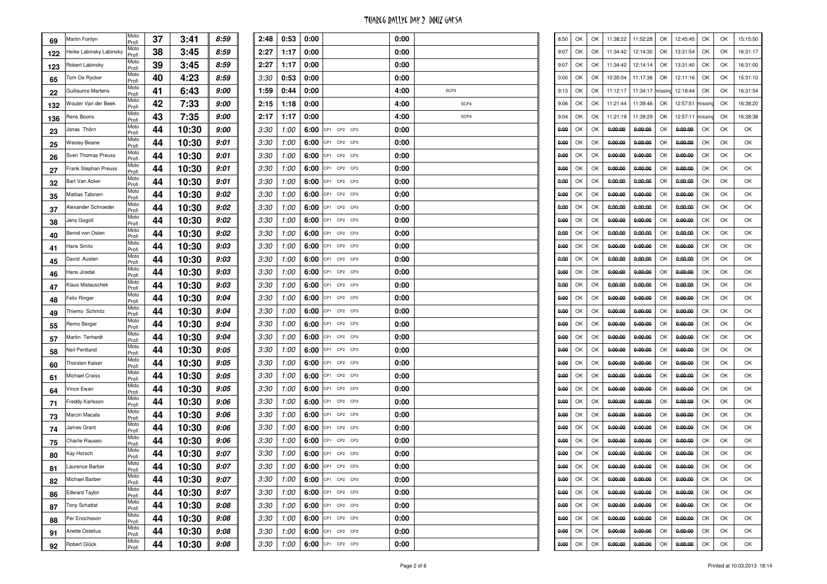| 69  | Martin Fontyn           | Moto<br>Profi | 37 | 3:41  | 8:59 |
|-----|-------------------------|---------------|----|-------|------|
| 122 | Heike Labinsky Labinsky | Moto<br>Profi | 38 | 3:45  | 8:59 |
| 123 | Robert Labinsky         | Moto<br>Profi | 39 | 3:45  | 8:59 |
| 65  | Tom De Rycker           | Moto<br>Profi | 40 | 4:23  | 8:59 |
| 22  | Guillaume Martens       | Moto<br>Profi | 41 | 6:43  | 9:00 |
| 132 | Wouter Van der Beek     | Moto<br>Profi | 42 | 7:33  | 9:00 |
| 136 | Rens Boons              | Moto<br>Profi | 43 | 7:35  | 9:00 |
| 23  | Jonas Thörn             | Moto<br>Profi | 44 | 10:30 | 9:00 |
| 25  | <b>Wesley Beane</b>     | Moto<br>Profi | 44 | 10:30 | 9:01 |
| 26  | Sven Thomas Preuss      | Moto<br>Profi | 44 | 10:30 | 9:01 |
| 27  | Frank Stephan Preuss    | Moto<br>Profi | 44 | 10:30 | 9:01 |
| 32  | Bart Van Acker          | Moto<br>Profi | 44 | 10:30 | 9:01 |
| 35  | Mattias Talonen         | Moto<br>Profi | 44 | 10:30 | 9:02 |
| 37  | Alexander Schroeder     | Moto<br>Profi | 44 | 10:30 | 9:02 |
| 38  | Jens Gogoll             | Moto<br>Profi | 44 | 10:30 | 9:02 |
| 40  | Bernd von Osten         | Moto<br>Profi | 44 | 10:30 | 9:02 |
| 41  | Hans Smits              | Moto<br>Profi | 44 | 10:30 | 9:03 |
| 45  | David Austen            | Moto<br>Profi | 44 | 10:30 | 9:03 |
| 46  | Hans Jiredal            | Moto<br>Profi | 44 | 10:30 | 9:03 |
| 47  | Klaus Matauschek        | Moto<br>Profi | 44 | 10:30 | 9:03 |
| 48  | Felix Ringer            | Moto<br>Profi | 44 | 10:30 | 9:04 |
| 49  | Thiemo Schmitz          | Moto<br>Profi | 44 | 10:30 | 9:04 |
| 55  | Remo Berger             | Moto<br>Profi | 44 | 10:30 | 9:04 |
| 57  | Martin Terhardt         | Moto<br>Profi | 44 | 10:30 | 9:04 |
| 58  | Neil Pentland           | Moto<br>Profi | 44 | 10:30 | 9:05 |
| 60  | <b>Thorsten Kaiser</b>  | Moto<br>Profi | 44 | 10:30 | 9:05 |
| 61  | <b>Michael Craiss</b>   | Moto<br>Profi | 44 | 10:30 | 9:05 |
| 64  | Vince Ewan              | Moto<br>Profi | 44 | 10:30 | 9:05 |
| 71  | Freddy Karlsson         | Moto<br>Profi | 44 | 10:30 | 9:06 |
| 73  | Marcin Macala           | Moto<br>Profi | 44 | 10:30 | 9:06 |
| 74  | James Grant             | Moto<br>Profi | 44 | 10:30 | 9:06 |
| 75  | Charlie Rauseo          | Moto<br>Profi | 44 | 10:30 | 9:06 |
| 80  | Kay Horsch              | Moto<br>Profi | 44 | 10:30 | 9:07 |
| 81  | Laurence Barber         | Moto<br>Profi | 44 | 10:30 | 9:07 |
| 82  | Michael Barber          | Moto<br>Profi | 44 | 10:30 | 9:07 |
| 86  | <b>Edward Taylor</b>    | Moto<br>Profi | 44 | 10:30 | 9:07 |
| 87  | <b>Tony Schattat</b>    | Moto<br>Profi | 44 | 10:30 | 9:08 |
| 88  | Per Enochsson           | Moto<br>Profi | 44 | 10:30 | 9:08 |
| 91  | Anette Ostelius         | Moto<br>Profi | 44 | 10:30 | 9:08 |
| 92  | Robert Glück            | Moto<br>Profi | 44 | 10:30 | 9:08 |

|     | 8:59 | 2:48        | 0:53          | 0:00 |                  | 0:00 |                  | 8:50 | OK | OK | 11:38:22 | 11:52:28 | OK      | 12:45:45 | OK      | OK | 15:15:50 |
|-----|------|-------------|---------------|------|------------------|------|------------------|------|----|----|----------|----------|---------|----------|---------|----|----------|
| 5   | 8:59 | 2:27        | 1:17          | 0:00 |                  | 0:00 |                  | 9:07 | OK | OK | 11:34:42 | 12:14:30 | OK      | 13:31:54 | OK      | OK | 16:31:17 |
| 5   | 8:59 | 2:27        | 1:17          | 0:00 |                  | 0:00 |                  | 9:07 | OK | OK | 11:34:42 | 12:14:14 | OK      | 13:31:40 | OK      | OK | 16:31:00 |
| 3   | 8:59 | 3:30        | 0:53          | 0:00 |                  | 0:00 |                  | 0:00 | OK | OK | 10:35:04 | 11:17:36 | OK      | 12:11:16 | OK      | OK | 15:31:10 |
| 3   | 9:00 | 1:59        | 0:44          | 0:00 |                  | 4:00 | SCP <sub>3</sub> | 9:13 | OK | OK | 11:12:17 | 11:34:17 | missing | 12:18:44 | OK      | OK | 16:31:54 |
| 3   | 9:00 | 2:15        | 1:18          | 0:00 |                  | 4:00 | SCP4             | 9:06 | ОК | OK | 11:21:44 | 11:39:46 | OK      | 12:57:51 | missing | OK | 16:38:20 |
| 5   | 9:00 | 2:17        | 1:17          | 0:00 |                  | 4:00 | SCP4             | 9:04 | OK | OK | 11:21:19 | 11:39:29 | OK      | 12:57:11 | missing | OK | 16:38:38 |
| 30  | 9:00 | 3:30        | 1:00          | 6:00 | CP1 CP2 CP3      | 0:00 |                  | 0:00 | OK | OK | 0:00:00  | 0:00:00  | OK      | 0:00:00  | OK      | OK | OK       |
| 30  | 9:01 | 3:30        | 1:00          | 6:00 | CP1 CP2 CP3      | 0:00 |                  | 0:00 | OK | OK | 0:00:00  | 0:00:00  | OK      | 0:00:00  | OK      | OK | OK       |
| 30  | 9:01 | 3:30        | 1:00          | 6:00 | CP1 CP2 CP3      | 0:00 |                  | 0:00 | OK | OK | 0:00:00  | 0:00:00  | OK      | 0:00:00  | OK      | OK | OK       |
| 30  | 9:01 | 3:30        | 1:00          | 6:00 | CP1 CP2 CP3      | 0:00 |                  | 0:00 | ОК | OK | 0:00:00  | 0:00:00  | ОК      | 0:00:00  | OK      | OK | OK       |
| 30  | 9:01 | 3:30        | 1:00          | 6:00 | CP1 CP2 CP3      | 0:00 |                  | 0:00 | OK | OK | 0:00:00  | 0:00:00  | OK      | 0:00:00  | OK      | OK | OK       |
| 30  | 9:02 | 3:30        | 1:00          | 6:00 | CP1 CP2 CP3      | 0:00 |                  | 0:00 | OK | OK | 0:00:00  | 0:00:00  | OK      | 0:00:00  | OK      | OK | OK       |
| 30  | 9:02 | 3:30        | 1:00          | 6:00 | CP1 CP2 CP3      | 0:00 |                  | 0:00 | OK | OK | 0:00:00  | 0:00:00  | OK      | 0:00:00  | OK      | OK | OK       |
| 30  | 9:02 | 3:30        | 1:00          | 6:00 | CP1 CP2 CP3      | 0:00 |                  | 0:00 | OK | OK | 0:00:00  | 0:00:00  | OK      | 0:00:00  | OK      | OK | OK       |
| 30  | 9:02 | 3:30        | 1:00          | 6:00 | CP1 CP2 CP3      | 0:00 |                  | 0:00 | ОК | OK | 0:00:00  | 0:00:00  | OK      | 0:00:00  | OK      | OK | OK       |
| 30  | 9:03 | 3:30        | 1:00          | 6:00 | CP1 CP2 CP3      | 0:00 |                  | 0:00 | OK | OK | 0:00:00  | 0:00:00  | OK      | 0:00:00  | OK      | OK | OK       |
| 30  | 9:03 | 3:30        | 1:00          | 6:00 | CP1 CP2 CP3      | 0:00 |                  | 0:00 | OK | OK | 0:00:00  | 0:00:00  | OK      | 0:00:00  | OK      | OK | OK       |
| 30  | 9:03 | 3:30        | 1:00          | 6:00 | CP1 CP2 CP3      | 0:00 |                  | 0:00 | OK | OK | 0:00:00  | 0:00:00  | OK      | 0:00:00  | OK      | OK | OK       |
| 30  | 9:03 | 3:30        | 1:00          | 6:00 | CP1 CP2 CP3      | 0:00 |                  | 0:00 | OK | OK | 0:00:00  | 0:00:00  | OK      | 0:00:00  | OK      | OK | OK       |
| 30  | 9:04 | 3:30        | 1:00          | 6:00 | CP1 CP2 CP3      | 0:00 |                  | 0:00 | ОК | OK | 0:00:00  | 0:00:00  | ОК      | 0:00:00  | OK      | OK | OK       |
| 30  | 9:04 | 3:30        | 1:00          | 6:00 | CP1 CP2 CP3      | 0:00 |                  | 0:00 | OK | OK | 0:00:00  | 0:00:00  | OK      | 0:00:00  | OK      | OK | OK       |
| 30  | 9:04 | 3:30        | 1:00          | 6:00 | CP1 CP2 CP3      | 0:00 |                  | 0:00 | OK | OK | 0:00:00  | 0:00:00  | OK      | 0:00:00  | OK      | OK | OK       |
| 30  | 9:04 | 3:30        | 1:00          | 6:00 | CP1 CP2 CP3      | 0:00 |                  | 0:00 | OK | OK | 0:00:00  | 0:00:00  | OK      | 0:00:00  | OK      | OK | OK       |
| 30  | 9:05 | 3:30        | 1:00          | 6:00 | CP1 CP2 CP3      | 0:00 |                  | 0:00 | OK | OK | 0:00:00  | 0:00:00  | OK      | 0:00:00  | OK      | OK | OK       |
| 30  | 9:05 | 3:30        | 1:00          | 6:00 | CP1 CP2 CP3      | 0:00 |                  | 0:00 | ОК | OK | 0:00:00  | 0:00:00  | ОК      | 0:00:00  | OK      | OK | OK       |
| 30  | 9:05 | 3:30        | 1:00          | 6:00 | CP1 CP2 CP3      | 0:00 |                  | 0:00 | OK | OK | 0:00:00  | 0:00:00  | OK      | 0:00:00  | OK      | OK | OK       |
| 30  | 9:05 | 3:30        | 1:00          | 6:00 | CP1 CP2 CP3      | 0:00 |                  | 0:00 | OK | OK | 0:00:00  | 0:00:00  | OK      | 0:00:00  | OK      | OK | OK       |
| 30  | 9:06 | 3:30        | 1:00          | 6:00 | CP1 CP2 CP3      | 0:00 |                  | 0:00 | OK | OK | 0:00:00  | 0:00:00  | OK      | 0:00:00  | OK      | OK | OK       |
| 30  | 9:06 | 3:30        | 1:00          | 6:00 | CP1 CP2 CP3      | 0:00 |                  | 0:00 | OK | OK | 0:00:00  | 0:00:00  | OK      | 0:00:00  | OK      | OK | OK       |
| 30  | 9:06 | 3:30        | 1:00          | 6:00 | CP1 CP2 CP3      | 0:00 |                  | 0:00 | ОК | OK | 0:00:00  | 0:00:00  | ОК      | 0:00:00  | OK      | OK | OK       |
| 30  | 9:06 | 3:30        | 1:00          | 6:00 | CP1 CP2 CP3      | 0:00 |                  | 0:00 | OK | OK | 0:00:00  | 0:00:00  | OK      | 0:00:00  | OK      | OK | OK       |
| 30  | 9:07 | 3:30        | 1:00          | 6:00 | CP1 CP2 CP3      | 0:00 |                  | 0:00 | OK | OK | 0:00:00  | 0:00:00  | OK      | 0:00:00  | OK      | OK | OK       |
| 30  | 9:07 | <i>3:30</i> | 1:00          | 6:00 | CP1 CP2 CP3      | 0:00 |                  | 0:00 | OK | OK | 0:00:00  | 0:00:00  | OK      | 0:00:00  | OK      | OK | OK       |
| SU. | 9:07 |             | $3:30$ $1:00$ |      | 6:00 CP1 CP2 CP3 | 0:00 |                  | 0:00 | OK | OK | 0:00:00  | 0:00:00  | OK      | 0:00:00  | OK      | OK | OK       |
| 30  | 9:07 |             | $3:30$ $1:00$ |      | 6:00 CP1 CP2 CP3 | 0:00 |                  | 0:00 | OK | OK | 0:00:00  | 0:00:00  | OK      | 0:00:00  | OK      | OK | OK       |
| 30  | 9:08 | 3:30        | 1:00          |      | 6:00 CP1 CP2 CP3 | 0:00 |                  | 0:00 | OK | OK | 0:00:00  | 0:00:00  | OK      | 0:00:00  | OK      | OK | OK       |
| 30  | 9:08 | 3:30        | 1:00          |      | 6:00 CP1 CP2 CP3 | 0:00 |                  | 0:00 | OK | OK | 0:00:00  | 0:00:00  | OK      | 0:00:00  | OK      | OK | OK       |
| 30  | 9:08 | 3:30        | 1:00          |      | 6:00 CP1 CP2 CP3 | 0:00 |                  | 0:00 | OK | OK | 0:00:00  | 0:00:00  | OK      | 0:00:00  | OK      | OK | OK       |
| 30  | 9:08 | 3:30        | 1:00          |      | 6:00 CP1 CP2 CP3 | 0:00 |                  | 0:00 | OK | OK | 0:00:00  | 0:00:00  | OK      | 0:00:00  | OK      | OK | OK       |
|     |      |             |               |      |                  |      |                  |      |    |    |          |          |         |          |         |    |          |

Page 2 of 6

| 8:50 | ОК | OK | 11:38:22 | 11:52:28         | OK | 12:45:45 | OK      | ОК | 15:15:50 |
|------|----|----|----------|------------------|----|----------|---------|----|----------|
| 9:07 | ОΚ | ОΚ | 11:34:42 | 12:14:30         | ОΚ | 13:31:54 | ОК      | ОК | 16:31:17 |
| 9:07 | ОК | OK | 11:34:42 | 12:14:14         | OK | 13:31:40 | OK      | ОК | 16:31:00 |
| 0:00 | ОК | OK | 10:35:04 | 11:17:36         | OK | 12:11:16 | ОК      | ОК | 15:31:10 |
| 9:13 | ОК | OK | 11:12:17 | 11:34:17 missing |    | 12:18:44 | ОК      | ОК | 16:31:54 |
| 9:06 | ОК | OK | 11:21:44 | 11:39:46         | OK | 12:57:51 | missing | ОК | 16:38:20 |
| 9:04 | ОΚ | ОК | 11:21:19 | 11:39:29         | ОК | 12:57:11 | missing | ОК | 16:38:38 |
| 0:00 | ОК | OK | 0:00:00  | 0:00:00          | OK | 0:00:00  | OK      | ОК | ОК       |
| 0:00 | ОК | OK | 0:00:00  | 0:00:00          | OK | 0:00:00  | ОК      | ОК | ОК       |
| 0:00 | ОК | OK | 0:00:00  | 0:00:00          | OK | 0:00:00  | OK      | ОК | OK       |
| 0:00 | ОΚ | ОΚ | 0:00:00  | 0:00:00          | ОΚ | 0:00:00  | OK      | OK | ОК       |
| 0:00 | ОΚ | ОК | 0:00:00  | 0:00:00          | ОΚ | 0:00:00  | ОК      | ОК | OK       |
| 0:00 | ОК | OK | 0:00:00  | 0:00:00          | OK | 0:00:00  | ОК      | ОК | ОК       |
| 0:00 | ОК | OK | 0:00:00  | 0:00:00          | ОК | 0:00:00  | ОК      | ОК | OK       |
| 0:00 | ОК | OK | 0:00:00  | 0:00:00          | OK | 0:00:00  | ОК      | ОК | ОК       |
| 0:00 | ОК | OK | 0:00:00  | 0:00:00          | ОK | 0:00:00  | ОК      | ОК | ОК       |
| 0:00 | ОΚ | OK | 0:00:00  | 0:00:00          | ОК | 0:00:00  | ОК      | ОК | OK       |
| 0:00 | ОК | OK | 0:00:00  | 0:00:00          | OK | 0:00:00  | ОК      | ОК | ОК       |
| 0:00 | ОК | OK | 0:00:00  | 0:00:00          | OK | 0:00:00  | ОК      | ОК | OK       |
| 0:00 | ОК | OK | 0:00:00  | 0:00:00          | OK | 0:00:00  | OK      | ОК | OK       |
| 0:00 | ОК | ОΚ | 0:00:00  | 0:00:00          | ОΚ | 0:00:00  | OK      | OK | ОК       |
| 0:00 | ОΚ | ОК | 0:00:00  | 0:00:00          | ОΚ | 0:00:00  | ОК      | ОК | OK       |
| 0:00 | ОК | OK | 0:00:00  | 0:00:00          | OK | 0:00:00  | ОК      | ОК | ОК       |
| 0:00 | ОК | OK | 0:00:00  | 0:00:00          | ОК | 0:00:00  | ОК      | ОК | OK       |
| 0:00 | ОК | OK | 0:00:00  | 0:00:00          | OK | 0:00:00  | ОК      | ОК | ОК       |
| 0:00 | ОК | OK | 0:00:00  | 0:00:00          | ОK | 0:00:00  | ОК      | ОК | ОК       |
| 0:00 | ОΚ | ОК | 0:00:00  | 0:00:00          | ОК | 0:00:00  | ОК      | ОК | OK       |
| 0:00 | ОК | OK | 0:00:00  | 0:00:00          | OK | 0:00:00  | ОК      | ОК | ОК       |
| 0:00 | ОК | OK | 0:00:00  | 0:00:00          | OK | 0:00:00  | ОК      | ОК | OK       |
| 0:00 | ОК | OK | 0:00:00  | 0:00:00          | OK | 0:00:00  | OK      | ОК | OK       |
| 0:00 | ОК | ОΚ | 0:00:00  | 0:00:00          | ОΚ | 0:00:00  | ОК      | ОК | OK       |
| 0:00 | OK | ОК | 0:00:00  | 0:00:00          | ОК | 0:00:00  | ОК      | ОК | OK       |
| 0:00 | ОК | OK | 0:00:00  | 0:00:00          | OK | 0:00:00  | ОК      | ОК | ОК       |
| 0:00 | ОК | ОК | 0:00:00  | 0:00:00          | ОК | 0:00:00  | OK      | ОК | OK       |
| 0:00 | OK | OK | 0:00:00  | 0:00:00          | ОК | 0:00:00  | ОК      | ОК | OK       |
| 0:00 | ОК | ОК | 0:00:00  | 0:00:00          | ОК | 0:00:00  | ОК      | ОК | ОК       |
| 0:00 | OK | ОК | 0:00:00  | 0:00:00          | ОК | 0:00:00  | ОК      | ОК | ОК       |
| 0:00 | ОК | ОК | 0:00:00  | 0:00:00          | ОК | 0:00:00  | ОК      | ОК | ОК       |
| 0:00 | ОК | OK | 0:00:00  | 0:00:00          | ОК | 0:00:00  | ОК      | ОК | ОК       |
| 0:00 | ОК | ОК | 0:00:00  | 0:00:00          | OK | 0:00:00  | ОК      | ОК | OK       |

Printed at 10.03.2013 18:14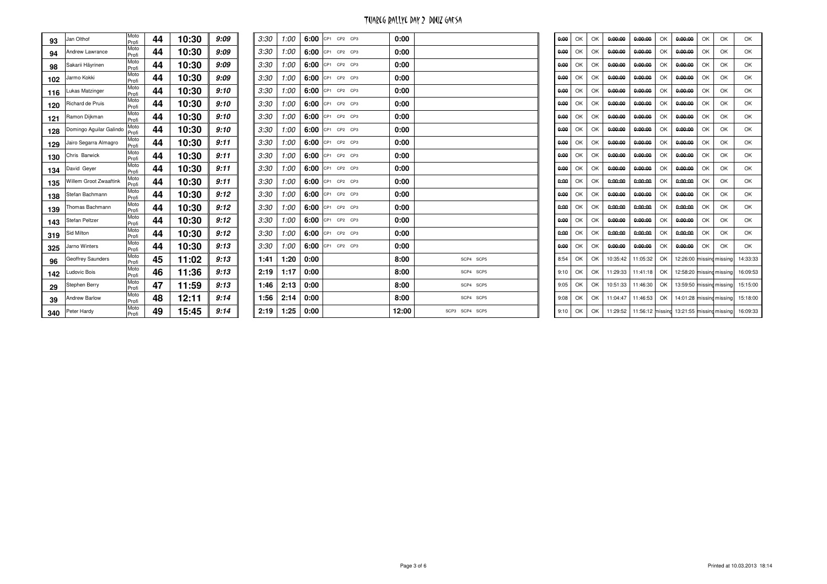| 93  | Jan Olthof              | Moto<br>Profi | 44 | 10:30 | 9:09 | 3:30 | 1:00 |      | 6:00 CP1 CP2 CP3 | 0:00  |                | 0:00 | OK | OK | 0:00:00  | 0:00:00                                            | OK | 0:00:00                  | OK | OK | OK                                |
|-----|-------------------------|---------------|----|-------|------|------|------|------|------------------|-------|----------------|------|----|----|----------|----------------------------------------------------|----|--------------------------|----|----|-----------------------------------|
| 94  | Andrew Lawrance         | Moto<br>Profi | 44 | 10:30 | 9:09 | 3:30 | 1:00 |      | 6:00 CP1 CP2 CP3 | 0:00  |                | 0:00 | OK | OK | 0:00:00  | 0:00:00                                            | OK | 0:00:00                  | OK | OK | OK                                |
| 98  | Sakarii Häyrinen        | Moto<br>Profi | 44 | 10:30 | 9:09 | 3:30 | 1:00 |      | 6:00 CP1 CP2 CP3 | 0:00  |                | 0:00 | OK | OK | 0:00:00  | 0:00:00                                            | OK | 0:00:00                  | OK | OK | OK                                |
| 102 | Jarmo Kokki             | Moto<br>Profi | 44 | 10:30 | 9:09 | 3:30 | 1:00 |      | 6:00 CP1 CP2 CP3 | 0:00  |                | 0:00 | OK | OK | 0:00:00  | 0:00:00                                            | OK | 0:00:00                  | OK | OK | OK                                |
| 116 | Lukas Matzinger         | Moto<br>Profi | 44 | 10:30 | 9:10 | 3:30 | 1:00 |      | 6:00 CP1 CP2 CP3 | 0:00  |                | 0:00 | OK | OK | 0:00:00  | 0:00:00                                            | OK | 0:00:00                  | OK | OK | OK                                |
| 120 | Richard de Pruis        | Moto<br>Profi | 44 | 10:30 | 9:10 | 3:30 | 1:00 |      | 6:00 CP1 CP2 CP3 | 0:00  |                | 0:00 | OK | OK | 0:00:00  | 0:00:00                                            | OK | 0:00:00                  | OK | OK | OK                                |
| 121 | Ramon Dijkman           | Moto<br>Profi | 44 | 10:30 | 9:10 | 3:30 | 1:00 |      | 6:00 CP1 CP2 CP3 | 0:00  |                | 0:00 | OK | OK | 0:00:00  | 0:00:00                                            | OK | 0:00:00                  | OK | OK | OK                                |
| 128 | Domingo Aguilar Galindo | Moto<br>Profi | 44 | 10:30 | 9:10 | 3:30 | 1:00 |      | 6:00 CP1 CP2 CP3 | 0:00  |                | 0:00 | OK | OK | 0:00:00  | 0:00:00                                            | OK | 0:00:00                  | OK | OK | OK                                |
| 129 | Jairo Segarra Almagro   | Moto<br>Profi | 44 | 10:30 | 9:11 | 3:30 | 1:00 |      | 6:00 CP1 CP2 CP3 | 0:00  |                | 0:00 | OK | OK | 0:00:00  | 0:00:00                                            | OK | 0:00:00                  | OK | OK | OK                                |
| 130 | Chris Barwick           | Moto<br>Profi | 44 | 10:30 | 9:11 | 3:30 | 1:00 |      | 6:00 CP1 CP2 CP3 | 0:00  |                | 0:00 | OK | OK | 0:00:00  | 0:00:00                                            | OK | 0:00:00                  | OK | OK | OK                                |
| 134 | David Geyer             | Moto<br>Profi | 44 | 10:30 | 9:11 | 3:30 | 1:00 |      | 6:00 CP1 CP2 CP3 | 0:00  |                | 0:00 | OK | OK | 0:00:00  | 0:00:00                                            | OK | 0:00:00                  | OK | OK | OK                                |
| 135 | Willem Groot Zwaaftink  | Moto<br>Profi | 44 | 10:30 | 9:11 | 3:30 | 1:00 |      | 6:00 CP1 CP2 CP3 | 0:00  |                | 0:00 | OK | OK | 0:00:00  | 0:00:00                                            | OK | 0:00:00                  | OK | OK | OK                                |
| 138 | Stefan Bachmann         | Moto<br>Profi | 44 | 10:30 | 9:12 | 3:30 | 1:00 |      | 6:00 CP1 CP2 CP3 | 0:00  |                | 0:00 | OK | OK | 0:00:00  | 0:00:00                                            | OK | 0:00:00                  | OK | OK | OK                                |
| 139 | Thomas Bachmann         | Moto<br>Profi | 44 | 10:30 | 9:12 | 3:30 | 1:00 |      | 6:00 CP1 CP2 CP3 | 0:00  |                | 0:00 | OK | OK | 0:00:00  | 0:00:00                                            | OK | 0:00:00                  | OK | OK | OK                                |
| 143 | Stefan Peltzer          | Moto<br>Profi | 44 | 10:30 | 9:12 | 3:30 | 1:00 |      | 6:00 CP1 CP2 CP3 | 0:00  |                | 0:00 | OK | OK | 0:00:00  | 0:00:00                                            | OK | 0:00:00                  | OK | OK | OK                                |
| 319 | Sid Milton              | Moto<br>Profi | 44 | 10:30 | 9:12 | 3:30 | 1:00 |      | 6:00 CP1 CP2 CP3 | 0:00  |                | 0:00 | OK | OK | 0:00:00  | 0:00:00                                            | OK | 0:00:00                  | OK | OK | OK                                |
| 325 | Jarno Winters           | Moto<br>Profi | 44 | 10:30 | 9:13 | 3:30 | 1:00 | 6:00 | CP1 CP2 CP3      | 0:00  |                | 0:00 | OK | OK | 0:00:00  | 0:00:00                                            | OK | 0:00:00                  | OK | OK | OK                                |
| 96  | Geoffrey Saunders       | Moto<br>Profi | 45 | 11:02 | 9:13 | 1:41 | 1:20 | 0:00 |                  | 8:00  | SCP4 SCP5      | 8:54 | OK | OK | 10:35:42 | 11:05:32                                           | OK | 12:26:00 missing missing |    |    | 14:33:33                          |
| 142 | Ludovic Bois            | Moto<br>Profi | 46 | 11:36 | 9:13 | 2:19 | 1:17 | 0:00 |                  | 8:00  | SCP4 SCP5      | 9:10 | OK | OK | 11:29:33 | 11:41:18                                           | OK |                          |    |    | 12:58:20 missing missing 16:09:53 |
| 29  | <b>Stephen Berry</b>    | Moto<br>Profi | 47 | 11:59 | 9:13 | 1:46 | 2:13 | 0:00 |                  | 8:00  | SCP4 SCP5      | 9:05 | OK | OK | 10:51:33 | 11:46:30                                           | OK | 13:59:50 missing missing |    |    | 15:15:00                          |
| 39  | Andrew Barlow           | Moto<br>Profi | 48 | 12:11 | 9:14 | 1:56 | 2:14 | 0:00 |                  | 8:00  | SCP4 SCP5      | 9:08 | OK | OK | 11:04:47 | 11:46:53                                           | OK |                          |    |    | 14:01:28 missing missing 15:18:00 |
| 340 | Peter Hardy             | Moto<br>Profi | 49 | 15:45 | 9:14 | 2:19 | 1:25 | 0:00 |                  | 12:00 | SCP3 SCP4 SCP5 | 9:10 | OK | OK | 11:29:52 | 11:56:12 missing 13:21:55 missing missing 16:09:33 |    |                          |    |    |                                   |
|     |                         |               |    |       |      |      |      |      |                  |       |                |      |    |    |          |                                                    |    |                          |    |    |                                   |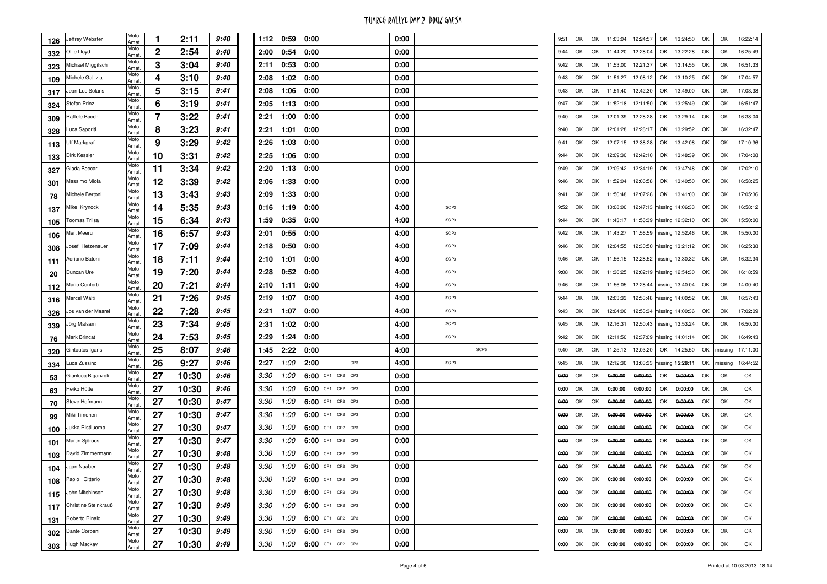| 126 | Jeffrey Webster      | Moto<br>Amat. | 1  | 2:11  | 9:40 | 1              |
|-----|----------------------|---------------|----|-------|------|----------------|
| 332 | Ollie Lloyd          | Moto<br>Amat. | 2  | 2:54  | 9:40 | 2              |
| 323 | Michael Miggitsch    | Moto<br>Amat. | 3  | 3:04  | 9:40 | 2              |
| 109 | Michele Gallizia     | Moto<br>Amat  | 4  | 3:10  | 9:40 | 2              |
| 317 | Jean-Luc Solans      | Moto<br>Amat. | 5  | 3:15  | 9:41 | 2              |
| 324 | Stefan Prinz         | Moto<br>Amat. | 6  | 3:19  | 9:41 | $\mathbf{2}$   |
| 309 | Raffele Bacchi       | Moto<br>Amat. | 7  | 3:22  | 9:41 | 2              |
| 328 | Luca Saporiti        | Moto<br>Amat. | 8  | 3:23  | 9:41 | 2              |
| 113 | Ulf Markgraf         | Moto<br>Amat. | 9  | 3:29  | 9:42 | 2              |
| 133 | Dirk Kessler         | Moto<br>Amat. | 10 | 3:31  | 9:42 | $\overline{2}$ |
| 327 | Giada Beccari        | Moto<br>Amat. | 11 | 3:34  | 9:42 | $\overline{2}$ |
| 301 | Massimo Miola        | Moto<br>Amat. | 12 | 3:39  | 9:42 | 2              |
| 78  | Michele Bertoni      | Moto<br>Amat. | 13 | 3:43  | 9:43 | 2              |
| 137 | Mike Krynock         | Moto<br>Amat. | 14 | 5:35  | 9:43 | 0              |
| 105 | <b>Toomas Triisa</b> | Moto<br>Amat. | 15 | 6:34  | 9:43 | 1              |
| 106 | Mart Meeru           | Moto<br>Amat. | 16 | 6:57  | 9:43 | $\overline{2}$ |
| 308 | Josef Hetzenauer     | Moto<br>Amat. | 17 | 7:09  | 9:44 | 2              |
| 111 | Adriano Batoni       | Moto<br>Amat. | 18 | 7:11  | 9:44 | 2              |
| 20  | Duncan Ure           | Moto<br>Amat. | 19 | 7:20  | 9:44 | 2              |
| 112 | Mario Conforti       | Moto<br>Amat. | 20 | 7:21  | 9:44 | $\overline{2}$ |
| 316 | Marcel Wälti         | Moto<br>Amat. | 21 | 7:26  | 9:45 | $\overline{2}$ |
| 326 | Jos van der Maarel   | Moto<br>Amat. | 22 | 7:28  | 9:45 | 2              |
| 339 | Jörg Malsam          | Moto<br>Amat. | 23 | 7:34  | 9:45 | 2              |
| 76  | Mark Brincat         | Moto<br>Amat. | 24 | 7:53  | 9:45 | 2              |
| 320 | Gintautas Igaris     | Moto<br>Amat. | 25 | 8:07  | 9:46 | 1              |
| 334 | Luca Zussino         | Moto<br>Amat. | 26 | 9:27  | 9:46 | $\overline{2}$ |
| 53  | Gianluca Biganzoli   | Moto<br>Amat. | 27 | 10:30 | 9:46 | З              |
| 63  | Heiko Hütte          | Moto<br>Amat. | 27 | 10:30 | 9:46 | 3              |
| 70  | Steve Hofmann        | Moto<br>Amat. | 27 | 10:30 | 9:47 | З              |
| 99  | Miki Timonen         | Moto<br>Amat. | 27 | 10:30 | 9:47 | З              |
| 100 | Jukka Ristiluoma     | Moto<br>Amat. | 27 | 10:30 | 9:47 | З              |
| 101 | Martin Sjöroos       | Moto<br>Amat. | 27 | 10:30 | 9:47 | З              |
| 103 | David Zimmermann     | Moto<br>Amat. | 27 | 10:30 | 9:48 | 3              |
| 104 | Jaan Naaber          | Moto<br>Amat  | 27 | 10:30 | 9:48 | З              |
| 108 | Paolo Citterio       | Moto<br>Amat. | 27 | 10:30 | 9:48 | З              |
| 115 | John Mitchinson      | Moto<br>Amat. | 27 | 10:30 | 9:48 | З              |
| 117 | Christine Steinkrauß | Moto<br>Amat. | 27 | 10:30 | 9:49 | З              |
| 131 | Roberto Rinaldi      | Moto<br>Amat. | 27 | 10:30 | 9:49 | З              |
| 302 | Dante Corbani        | Moto<br>Amat. | 27 | 10:30 | 9:49 | З              |
| 303 | Hugh Mackay          | Moto<br>Amat. | 27 | 10:30 | 9:49 | З              |
|     |                      |               |    |       |      |                |

|                | 9:40 | 1:12        | 0:59          | 0:00 |                  | 0:00 |                  |      | 9:51 | OK | OK | 11:03:04 | 12:24:57         | OK      | 13:24:50 | OK | OK      | 16:22:14 |
|----------------|------|-------------|---------------|------|------------------|------|------------------|------|------|----|----|----------|------------------|---------|----------|----|---------|----------|
| 4              | 9:40 | 2:00        | 0:54          | 0:00 |                  | 0:00 |                  |      | 9:44 | OK | OK | 11:44:20 | 12:28:04         | OK      | 13:22:28 | OK | OK      | 16:25:49 |
| 4              | 9:40 | 2:11        | 0:53          | 0:00 |                  | 0:00 |                  |      | 9:42 | OK | OK | 11:53:00 | 12:21:37         | OK      | 13:14:55 | OK | OK      | 16:51:33 |
| 0              | 9:40 | 2:08        | 1:02          | 0:00 |                  | 0:00 |                  |      | 9:43 | OK | OK | 11:51:27 | 12:08:12         | OK      | 13:10:25 | OK | OK      | 17:04:57 |
| 5              | 9:41 | 2:08        | 1:06          | 0:00 |                  | 0:00 |                  |      | 9:43 | OK | OK | 11:51:40 | 12:42:30         | OK      | 13:49:00 | OK | OK      | 17:03:38 |
| 9              | 9:41 | 2:05        | 1:13          | 0:00 |                  | 0:00 |                  |      | 9:47 | OK | OK | 11:52:18 | 12:11:50         | OK      | 13:25:49 | OK | OK      | 16:51:47 |
| 2              | 9:41 | 2:21        | 1:00          | 0:00 |                  | 0:00 |                  |      | 9:40 | OK | OK | 12:01:39 | 12:28:28         | OK      | 13:29:14 | OK | OK      | 16:38:04 |
| 3              | 9:41 | 2:21        | 1:01          | 0:00 |                  | 0:00 |                  |      | 9:40 | OK | OK | 12:01:28 | 12:28:17         | OK      | 13:29:52 | OK | OK      | 16:32:47 |
| 9              | 9:42 | 2:26        | 1:03          | 0:00 |                  | 0:00 |                  |      | 9:41 | OK | OK | 12:07:15 | 12:38:28         | OK      | 13:42:08 | OK | OK      | 17:10:36 |
| 1              | 9:42 | 2:25        | 1:06          | 0:00 |                  | 0:00 |                  |      | 9:44 | OK | OK | 12:09:30 | 12:42:10         | OK      | 13:48:39 | OK | OK      | 17:04:08 |
| 4              | 9:42 | 2:20        | 1:13          | 0:00 |                  | 0:00 |                  |      | 9:49 | OK | OK | 12:09:42 | 12:34:19         | OK      | 13:47:48 | OK | OK      | 17:02:10 |
| 9              | 9:42 | 2:06        | 1:33          | 0:00 |                  | 0:00 |                  |      | 9:46 | OK | OK | 11:52:04 | 12:06:58         | OK      | 13:40:50 | OK | OK      | 16:58:25 |
| 3              | 9:43 | 2:09        | 1:33          | 0:00 |                  | 0:00 |                  |      | 9:41 | OK | OK | 11:50:48 | 12:07:28         | OK      | 13:41:00 | OK | OK      | 17:05:36 |
| 5              | 9:43 | 0:16        | 1:19          | 0:00 |                  | 4:00 | SCP <sub>3</sub> |      | 9:52 | OK | OK | 10:08:00 | 12:47:13         | missing | 14:06:33 | OK | OK      | 16:58:12 |
| 4              | 9:43 | 1:59        | 0:35          | 0:00 |                  | 4:00 | SCP <sub>3</sub> |      | 9:44 | OK | OK | 11:43:17 | 11:56:39         | missing | 12:32:10 | OK | OK      | 15:50:00 |
| 7              | 9:43 | 2:01        | 0:55          | 0:00 |                  | 4:00 | SCP <sub>3</sub> |      | 9:42 | ОК | OK | 11:43:27 | 11:56:59         | missing | 12:52:46 | OK | OK      | 15:50:00 |
| 9              | 9:44 | 2:18        | 0:50          | 0:00 |                  | 4:00 | SCP <sub>3</sub> |      | 9:46 | OK | OK | 12:04:55 | 12:30:50         | nissing | 13:21:12 | OK | OK      | 16:25:38 |
| 1              | 9:44 | 2:10        | 1:01          | 0:00 |                  | 4:00 | SCP <sub>3</sub> |      | 9:46 | OK | OK | 11:56:15 | 12:28:52 missing |         | 13:30:32 | OK | OK      | 16:32:34 |
| 0              | 9:44 | 2:28        | 0:52          | 0:00 |                  | 4:00 | SCP <sub>3</sub> |      | 9:08 | OK | OK | 11:36:25 | 12:02:19         | missing | 12:54:30 | OK | OK      | 16:18:59 |
| 1              | 9:44 | 2:10        | 1:11          | 0:00 |                  | 4:00 | SCP <sub>3</sub> |      | 9:46 | OK | OK | 11:56:05 | 12:28:44         | missing | 13:40:04 | OK | OK      | 14:00:40 |
| 6              | 9:45 | 2:19        | 1:07          | 0:00 |                  | 4:00 | SCP3             |      | 9:44 | ОК | OK | 12:03:33 | 12:53:48         | missing | 14:00:52 | OK | OK      | 16:57:43 |
| 8              | 9:45 | 2:21        | 1:07          | 0:00 |                  | 4:00 | SCP <sub>3</sub> |      | 9:43 | OK | OK | 12:04:00 | 12:53:34         | nissing | 14:00:36 | OK | OK      | 17:02:09 |
| 4              | 9:45 | 2:31        | 1:02          | 0:00 |                  | 4:00 | SCP <sub>3</sub> |      | 9:45 | OK | OK | 12:16:31 | 12:50:43 missing |         | 13:53:24 | OK | OK      | 16:50:00 |
| 3              | 9:45 | 2:29        | 1:24          | 0:00 |                  | 4:00 | SCP <sub>3</sub> |      | 9:42 | OK | OK | 12:11:50 | 12:37:09         | missing | 14:01:14 | OK | OK      | 16:49:43 |
| $\overline{7}$ | 9:46 | 1:45        | 2:22          | 0:00 |                  | 4:00 |                  | SCP5 | 9:40 | OK | OK | 11:25:13 | 12:03:20         | OK      | 14:25:50 | OK | missing | 17:11:00 |
| 7              | 9:46 | 2:27        | 1:00          | 2:00 | CP3              | 4:00 | SCP <sub>3</sub> |      | 9:45 | OK | OK | 12:12:30 | 13:03:33         | nissing | 15:28:11 | OK | missing | 16:44:52 |
| 30             | 9:46 | 3:30        | 1:00          | 6:00 | CP1 CP2 CP3      | 0:00 |                  |      | 0:00 | OK | OK | 0:00:00  | 0:00:00          | OK      | 0:00:00  | OK | OK      | OK       |
| 30             | 9:46 | 3:30        | 1:00          | 6:00 | CP1 CP2 CP3      | 0:00 |                  |      | 0:00 | OK | OK | 0:00:00  | 0:00:00          | OK      | 0:00:00  | OK | OK      | OK       |
| 30             | 9:47 | 3:30        | 1:00          | 6:00 | CP1 CP2 CP3      | 0:00 |                  |      | 0:00 | OK | OK | 0:00:00  | 0:00:00          | OK      | 0:00:00  | OK | OK      | OK       |
| 30             | 9:47 | 3:30        | 1:00          | 6:00 | CP1 CP2 CP3      | 0:00 |                  |      | 0:00 | OK | OK | 0:00:00  | 0:00:00          | OK      | 0:00:00  | OK | OK      | OK       |
| 30             | 9:47 | 3:30        | 1:00          | 6:00 | CP1 CP2 CP3      | 0:00 |                  |      | 0:00 | OK | OK | 0:00:00  | 0:00:00          | OK      | 0:00:00  | OK | OK      | OK       |
| 30             | 9:47 | 3:30        | 1:00          | 6:00 | CP1 CP2 CP3      | 0:00 |                  |      | 0:00 | OK | OK | 0:00:00  | 0:00:00          | OK      | 0:00:00  | OK | OK      | OK       |
| 30             | 9:48 | 3:30        | 1:00          | 6:00 | CP1 CP2 CP3      | 0:00 |                  |      | 0:00 | OK | OK | 0:00:00  | 0:00:00          | OK      | 0:00:00  | OK | OK      | OK       |
| 30             | 9:48 | <i>3:30</i> | 1:00          | 6:00 | CP1 CP2 CP3      | 0:00 |                  |      | 0:00 | OK | OK | 0:00:00  | 0:00:00          | OK      | 0:00:00  | OK | OK      | OK       |
| 30             | 9:48 |             | $3:30$ $1:00$ |      | 6:00 CP1 CP2 CP3 | 0:00 |                  |      | 0:00 | OK | OK | 0:00:00  | 0:00:00          | OK      | 0:00:00  | OK | OK      | OK       |
| 30             | 9:48 |             | $3:30$ $1:00$ |      | 6:00 CP1 CP2 CP3 | 0:00 |                  |      | 0:00 | OK | OK | 0:00:00  | 0:00:00          | OK      | 0:00:00  | OK | OK      | OK       |
| 30             | 9:49 |             | $3:30$ $1:00$ |      | 6:00 CP1 CP2 CP3 | 0:00 |                  |      | 0:00 | OK | OK | 0:00:00  | 0:00:00          | ОК      | 0:00:00  | OK | OK      | OK       |
| 30             | 9:49 | 3:30        | 1:00          |      | 6:00 CP1 CP2 CP3 | 0:00 |                  |      | 0:00 | OK | OK | 0:00:00  | 0:00:00          | OK      | 0:00:00  | OK | OK      | OK       |
| 30             | 9:49 | 3:30        | 1:00          |      | 6:00 CP1 CP2 CP3 | 0:00 |                  |      | 0:00 | OK | OK | 0:00:00  | 0:00:00          | OK      | 0:00:00  | OK | OK      | OK       |
| 30             | 9:49 | 3:30        | 1:00          |      | 6:00 CP1 CP2 CP3 | 0:00 |                  |      | 0:00 | OK | OK | 0:00:00  | 0:00:00          | OK      | 0:00:00  | OK | OK      | OK       |
|                |      |             |               |      |                  |      |                  |      |      |    |    |          |                  |         |          |    |         |          |

Page 4 of 6

| 9:51 | ОК | OK | 11:03:04 | 12:24:57         | OK | 13:24:50 | ОК | ОК      | 16:22:14 |
|------|----|----|----------|------------------|----|----------|----|---------|----------|
| 9:44 | ОК | ОК | 11:44:20 | 12:28:04         | ОК | 13:22:28 | ОК | ОК      | 16:25:49 |
| 9:42 | OK | ОК | 11:53:00 | 12:21:37         | ОК | 13:14:55 | ОК | ОК      | 16:51:33 |
| 9:43 | OK | ОК | 11:51:27 | 12:08:12         | OK | 13:10:25 | ОК | ОК      | 17:04:57 |
| 9:43 | OK | ОК | 11:51:40 | 12:42:30         | ОК | 13:49:00 | ОК | ОК      | 17:03:38 |
| 9:47 | OK | ОК | 11:52:18 | 12:11:50         | ОК | 13:25:49 | OK | ОК      | 16:51:47 |
| 9:40 | ОК | ОК | 12:01:39 | 12:28:28         | ОΚ | 13:29:14 | ОК | ОК      | 16:38:04 |
| 9:40 | OK | OK | 12:01:28 | 12:28:17         | OK | 13:29:52 | OK | ОК      | 16:32:47 |
| 9:41 | ОК | ОК | 12:07:15 | 12:38:28         | OK | 13:42:08 | ОК | ОК      | 17:10:36 |
| 9:44 | OK | ОК | 12:09:30 | 12:42:10         | ОК | 13:48:39 | ОК | ОК      | 17:04:08 |
| 9:49 | OK | ОК | 12:09:42 | 12:34:19         | OK | 13:47:48 | OK | ОК      | 17:02:10 |
| 9:46 | ОК | ОΚ | 11:52:04 | 12:06:58         | ОK | 13:40:50 | ОК | ОК      | 16:58:25 |
| 9:41 | OK | ОК | 11:50:48 | 12:07:28         | ОК | 13:41:00 | OK | ОК      | 17:05:36 |
| 9:52 | ОК | ОК | 10:08:00 | 12:47:13 missing |    | 14:06:33 | ОК | ОК      | 16:58:12 |
| 9:44 | OK | ОК | 11:43:17 | 11:56:39 missing |    | 12:32:10 | ОК | ОК      | 15:50:00 |
| 9:42 | OK | ОК | 11:43:27 | 11:56:59 missing |    | 12:52:46 | OK | ОК      | 15:50:00 |
| 9:46 | OK | ОК | 12:04:55 | 12:30:50 missing |    | 13:21:12 | ОК | ОК      | 16:25:38 |
| 9:46 | OK | OK | 11:56:15 | 12:28:52 missing |    | 13:30:32 | OK | ОК      | 16:32:34 |
| 9:08 | ОК | ОК | 11:36:25 | 12:02:19 missing |    | 12:54:30 | ОК | ОК      | 16:18:59 |
| 9:46 | OK | ОК | 11:56:05 | 12:28:44 missing |    | 13:40:04 | ОК | ОК      | 14:00:40 |
| 9:44 | OK | ОК | 12:03:33 | 12:53:48 missing |    | 14:00:52 | ОК | ОК      | 16:57:43 |
| 9:43 | ОК | ОК | 12:04:00 | 12:53:34 missing |    | 14:00:36 | ОК | OK      | 17:02:09 |
| 9:45 | OK | OK | 12:16:31 | 12:50:43 missing |    | 13:53:24 | ОК | ОК      | 16:50:00 |
| 9:42 | ОК | ОК | 12:11:50 | 12:37:09 missing |    | 14:01:14 | ОК | ОК      | 16:49:43 |
| 9:40 | OK | ОК | 11:25:13 | 12:03:20         | OK | 14:25:50 | ОК | missing | 17:11:00 |
| 9:45 | OK | ОК | 12:12:30 | 13:03:33 missing |    | 15:28:11 | ОК | missing | 16:44:52 |
| 0:00 | ОК | ОК | 0:00:00  | 0:00:00          | OK | 0:00:00  | OK | ОК      | OK       |
| 0:00 | OK | OK | 0:00:00  | 0:00:00          | ОК | 0:00:00  | OK | ОК      | ОК       |
| 0:00 | ОК | ОК | 0:00:00  | 0:00:00          | OK | 0:00:00  | OK | ОК      | OK       |
| 0:00 | OK | ОК | 0:00:00  | 0:00:00          | ОК | 0:00:00  | ОК | ОК      | OK       |
| 0:00 | OK | OK | 0:00:00  | 0:00:00          | ОК | 0:00:00  | OK | OK      | OK       |
| 0:00 | OK | OK | 0:00:00  | 0:00:00          | ОК | 0:00:00  | ОК | ОК      | OK       |
| 0:00 | OK | ОК | 0:00:00  | 0:00:00          | ОК | 0:00:00  | ОК | ОК      | OK       |
| 0:00 | OK | ОК | 0:00:00  | 0:00:00          | ОК | 0:00:00  | ОК | ОК      | OK       |
| 0:00 | OK | ОК | 0:00:00  | 0:00:00          | ОК | 0:00:00  | ОК | ОК      | OK       |
| 0:00 | ОК | OK | 0:00:00  | 0:00:00          | ОК | 0:00:00  | ОК | ОК      | ОК       |
| 0:00 | ОК | ОК | 0:00:00  | 0:00:00          | ОК | 0:00:00  | ОК | ОК      | ОК       |
| 0:00 | ОК | ОК | 0:00:00  | 0:00:00          | ОК | 0:00:00  | ОК | ОК      | ОК       |
| 0:00 | ОК | OK | 0:00:00  | 0:00:00          | ОК | 0:00:00  | ОК | ОК      | ОК       |
| 0:00 | ОК | ОК | 0:00:00  | 0:00:00          | ОК | 0:00:00  | ОК | ОК      | ОК       |

Printed at 10.03.2013 18:14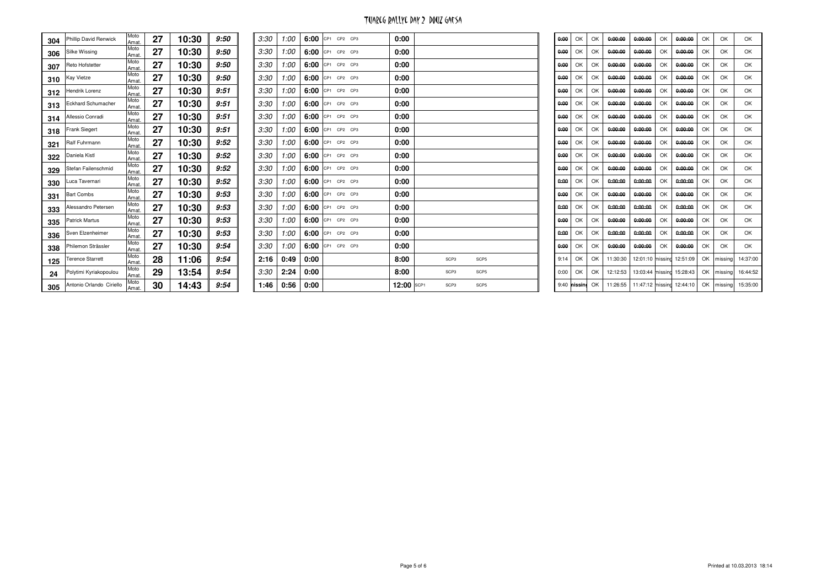| 304 | Phillip David Renwick    | Moto<br>Amat. | 27 | 10:30 | 9:50 | 3:30 | 1:00 | 6:00 | CP1 CP2 CP3      | 0:00       |                  |      | 0:00 | OK           | OK  | 0:00:00  | 0:00:00 | OK | 0:00:00                   | OK | OK      | OK               |
|-----|--------------------------|---------------|----|-------|------|------|------|------|------------------|------------|------------------|------|------|--------------|-----|----------|---------|----|---------------------------|----|---------|------------------|
| 306 | Silke Wissing            | Moto<br>Amat  | 27 | 10:30 | 9:50 | 3:30 | 1:00 |      | 6:00 CP1 CP2 CP3 | 0:00       |                  |      | 0:00 | OK           | OK  | 0:00:00  | 0:00:00 | OK | 0:00:00                   | OK | OK      | OK               |
| 307 | Reto Hofstetter          | Moto<br>Amat. | 27 | 10:30 | 9:50 | 3:30 | 1:00 |      | 6:00 CP1 CP2 CP3 | 0:00       |                  |      | 0:00 | OK           | OK  | 0:00:00  | 0:00:00 | OK | 0:00:00                   | OK | OK      | OK               |
| 310 | Kay Vietze               | Moto<br>Amat  | 27 | 10:30 | 9:50 | 3:30 | 1:00 |      | 6:00 CP1 CP2 CP3 | 0:00       |                  |      | 0:00 | OK           | OK  | 0:00:00  | 0:00:00 | OK | 0:00:00                   | OK | OK      | OK               |
| 312 | Hendrik Lorenz           | Moto<br>Amat. | 27 | 10:30 | 9:51 | 3:30 | 1:00 |      | 6:00 CP1 CP2 CP3 | 0:00       |                  |      | 0:00 | OK           | OK  | 0:00:00  | 0:00:00 | OK | 0:00:00                   | OK | OK      | OK               |
| 313 | Eckhard Schumacher       | Moto<br>Amat  | 27 | 10:30 | 9:51 | 3:30 | 1:00 |      | 6:00 CP1 CP2 CP3 | 0:00       |                  |      | 0:00 | OK           | OK  | 0:00:00  | 0:00:00 | OK | 0:00:00                   | OK | OK      | OK               |
| 314 | Allessio Conradi         | Moto<br>Amat  | 27 | 10:30 | 9:51 | 3:30 | 1:00 | 6:00 | CP1 CP2 CP3      | 0:00       |                  |      | 0:00 | OK           | OK  | 0:00:00  | 0:00:00 | OK | 0:00:00                   | OK | OK      | OK               |
| 318 | <b>Frank Siegert</b>     | Moto<br>Amat. | 27 | 10:30 | 9:51 | 3:30 | 1:00 |      | 6:00 CP1 CP2 CP3 | 0:00       |                  |      | 0:00 | OK           | OK  | 0:00:00  | 0:00:00 | OK | 0:00:00                   | OK | OK      | OK               |
| 321 | Ralf Fuhrmann            | Moto<br>Amat  | 27 | 10:30 | 9:52 | 3:30 | 1:00 |      | 6:00 CP1 CP2 CP3 | 0:00       |                  |      | 0:00 | OK           | OK  | 0:00:00  | 0:00:00 | OK | 0:00:00                   | OK | OK      | OK               |
| 322 | Daniela Kistl            | Moto<br>Amat  | 27 | 10:30 | 9:52 | 3:30 | 1:00 |      | 6:00 CP1 CP2 CP3 | 0:00       |                  |      | 0:00 | OK           | OK  | 0:00:00  | 0:00:00 | OK | 0:00:00                   | OK | OK      | OK               |
| 329 | Stefan Failenschmid      | Moto<br>Amat. | 27 | 10:30 | 9:52 | 3:30 | 1:00 |      | 6:00 CP1 CP2 CP3 | 0:00       |                  |      | 0:00 | OK           | OK  | 0:00:00  | 0:00:00 | OK | 0:00:00                   | OK | OK      | OK               |
| 330 | Luca Tavernari           | Moto<br>Amat  | 27 | 10:30 | 9:52 | 3:30 | 1:00 |      | 6:00 CP1 CP2 CP3 | 0:00       |                  |      | 0:00 | OK           | OK  | 0:00:00  | 0:00:00 | OK | 0:00:00                   | OK | OK      | OK               |
| 331 | <b>Bart Combs</b>        | Moto<br>Amat  | 27 | 10:30 | 9:53 | 3:30 | 1:00 | 6:00 | CP1 CP2 CP3      | 0:00       |                  |      | 0:00 | OK           | OK  | 0:00:00  | 0:00:00 | OK | 0:00:00                   | OK | OK      | OK               |
| 333 | Alessandro Petersen      | Moto<br>Amat  | 27 | 10:30 | 9:53 | 3:30 | 1:00 | 6:00 | CP1 CP2 CP3      | 0:00       |                  |      | 0:00 | OK           | OK  | 0:00:00  | 0:00:00 | OK | 0:00:00                   | OK | OK      | OK               |
| 335 | <b>Patrick Martus</b>    | Moto<br>Amat  | 27 | 10:30 | 9:53 | 3:30 | 1:00 |      | 6:00 CP1 CP2 CP3 | 0:00       |                  |      | 0:00 | OK           | OK  | 0:00:00  | 0:00:00 | OK | 0:00:00                   | OK | OK      | OK               |
| 336 | Sven Elzenheimer         | Moto<br>Amat  | 27 | 10:30 | 9:53 | 3:30 | 1:00 |      | 6:00 CP1 CP2 CP3 | 0:00       |                  |      | 0:00 | OK           | OK  | 0:00:00  | 0:00:00 | OK | 0:00:00                   | OK | OK      | OK               |
| 338 | Philemon Strässler       | Moto<br>Amat  | 27 | 10:30 | 9:54 | 3:30 | 1:00 | 6:00 | CP1 CP2 CP3      | 0:00       |                  |      | 0:00 | OK           | OK  | 0:00:00  | 0:00:00 | OK | 0:00:00                   | OK | OK      | OK               |
| 125 | <b>Terence Starrett</b>  | Moto<br>Amat. | 28 | 11:06 | 9:54 | 2:16 | 0:49 | 0:00 |                  | 8:00       | SCP3             | SCP5 | 9:14 | OK           | OK  | 11:30:30 |         |    | 12:01:10 missing 12:51:09 | OK | missing | 14:37:00         |
| 24  | Polytimi Kyriakopoulou   | Moto<br>Amat  | 29 | 13:54 | 9:54 | 3:30 | 2:24 | 0:00 |                  | 8:00       | SCP <sub>3</sub> | SCP5 | 0:00 | OK           | OK. | 12:12:53 |         |    | 13:03:44 missing 15:28:43 | OK |         | missing 16:44:52 |
| 305 | Antonio Orlando Ciriello | Moto<br>Amat. | 30 | 14:43 | 9:54 | 1:46 | 0:56 | 0:00 |                  | 12:00 SCP1 | SCP3             | SCP5 |      | 9:40 missine | OK  | 11:26:55 |         |    | 11:47:12 missing 12:44:10 | OK |         | missing 15:35:00 |
|     |                          |               |    |       |      |      |      |      |                  |            |                  |      |      |              |     |          |         |    |                           |    |         |                  |